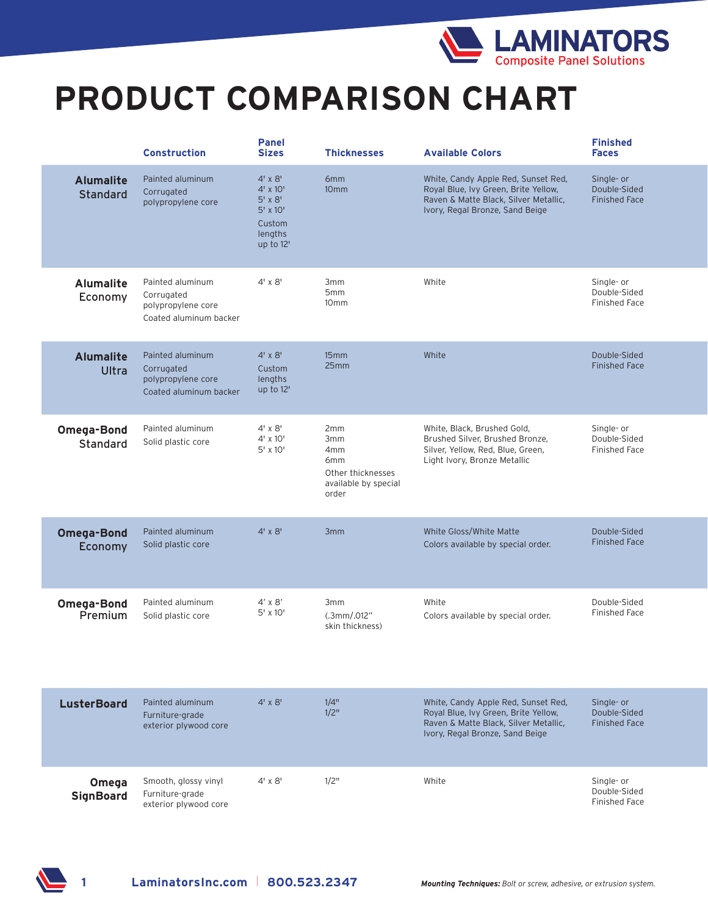

## **PRODUCT COMPARISON CHART**

|                                     | <b>Construction</b>                                                            | <b>Panel</b><br><b>Sizes</b>                                                                       | <b>Thicknesses</b>                                                                         | <b>Available Colors</b>                                                                                                                                 | <b>Finished</b><br><b>Faces</b>                    |
|-------------------------------------|--------------------------------------------------------------------------------|----------------------------------------------------------------------------------------------------|--------------------------------------------------------------------------------------------|---------------------------------------------------------------------------------------------------------------------------------------------------------|----------------------------------------------------|
| <b>Alumalite</b><br><b>Standard</b> | Painted aluminum<br>Corrugated<br>polypropylene core                           | $4' \times 8'$<br>$4' \times 10'$<br>$5'$ x $8'$<br>$5'$ x $10'$<br>Custom<br>lengths<br>up to 12' | 6mm<br>10 <sub>mm</sub>                                                                    | White, Candy Apple Red, Sunset Red,<br>Royal Blue, Ivy Green, Brite Yellow,<br>Raven & Matte Black, Silver Metallic,<br>Ivory, Regal Bronze, Sand Beige | Single- or<br>Double-Sided<br><b>Finished Face</b> |
| <b>Alumalite</b><br>Economy         | Painted aluminum<br>Corrugated<br>polypropylene core<br>Coated aluminum backer | $4' \times 8'$                                                                                     | 3mm<br>5mm<br>10 <sub>mm</sub>                                                             | White                                                                                                                                                   | Single- or<br>Double-Sided<br>Finished Face        |
| <b>Alumalite</b><br><b>Ultra</b>    | Painted aluminum<br>Corrugated<br>polypropylene core<br>Coated aluminum backer | $4' \times 8'$<br>Custom<br>lengths<br>up to 12'                                                   | 15mm<br>25mm                                                                               | White                                                                                                                                                   | Double-Sided<br><b>Finished Face</b>               |
| Omega-Bond<br>Standard              | Painted aluminum<br>Solid plastic core                                         | $4' \times 8'$<br>4' x 10'<br>5' x 10'                                                             | 2mm<br>3mm<br>4mm<br>6 <sub>mm</sub><br>Other thicknesses<br>available by special<br>order | White, Black, Brushed Gold,<br>Brushed Silver, Brushed Bronze,<br>Silver, Yellow, Red, Blue, Green,<br>Light Ivory, Bronze Metallic                     | Single- or<br>Double-Sided<br>Finished Face        |
| <b>Omega-Bond</b><br>Economy        | Painted aluminum<br>Solid plastic core                                         | $4' \times 8'$                                                                                     | 3 <sub>mm</sub>                                                                            | White Gloss/White Matte<br>Colors available by special order.                                                                                           | Double-Sided<br><b>Finished Face</b>               |
| <b>Omega-Bond</b><br>Premium        | Painted aluminum<br>Solid plastic core                                         | $4' \times 8'$<br>5' x 10'                                                                         | 3mm<br>(.3mm/.012"<br>skin thickness)                                                      | White<br>Colors available by special order.                                                                                                             | Double-Sided<br>Finished Face                      |
| <b>LusterBoard</b>                  | Painted aluminum<br>Furniture-grade<br>exterior plywood core                   | $4' \times 8'$                                                                                     | 1/4"<br>1/2"                                                                               | White, Candy Apple Red, Sunset Red,<br>Royal Blue, Ivy Green, Brite Yellow,<br>Raven & Matte Black, Silver Metallic,<br>Ivory, Regal Bronze, Sand Beige | Single- or<br>Double-Sided<br><b>Finished Face</b> |
| Omega<br><b>SignBoard</b>           | Smooth, glossy vinyl<br>Furniture-grade<br>exterior plywood core               | $4' \times 8'$                                                                                     | 1/2"                                                                                       | White                                                                                                                                                   | Single- or<br>Double-Sided<br>Finished Face        |